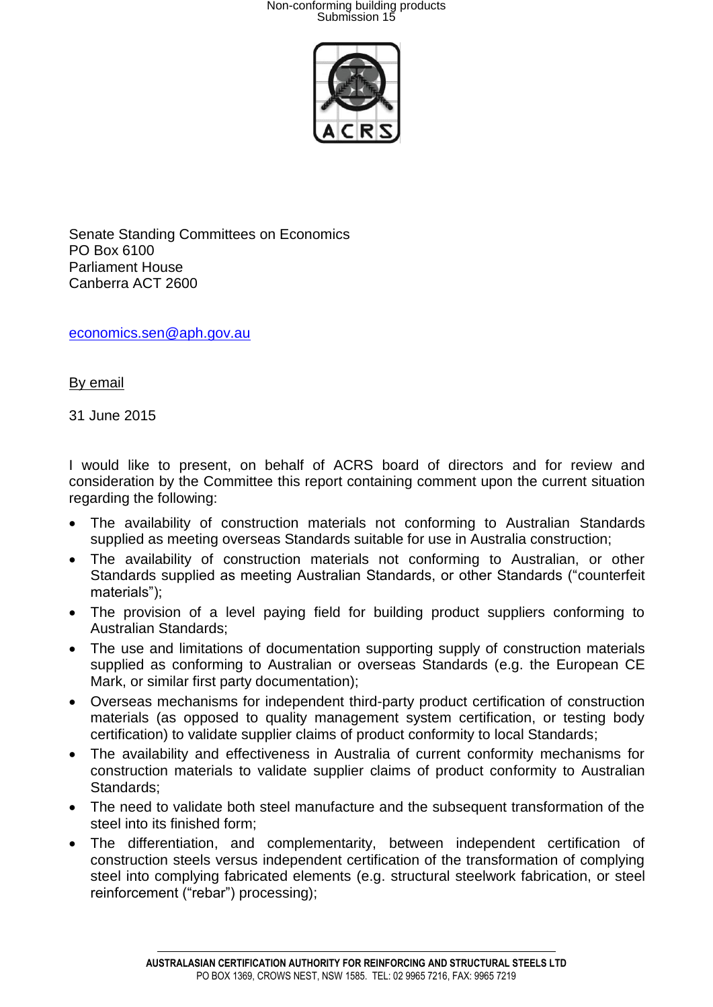

Senate Standing Committees on Economics PO Box 6100 Parliament House Canberra ACT 2600

[economics.sen@aph.gov.au](mailto:economics.sen@aph.gov.au)

By email

31 June 2015

I would like to present, on behalf of ACRS board of directors and for review and consideration by the Committee this report containing comment upon the current situation regarding the following:

- The availability of construction materials not conforming to Australian Standards supplied as meeting overseas Standards suitable for use in Australia construction;
- The availability of construction materials not conforming to Australian, or other Standards supplied as meeting Australian Standards, or other Standards ("counterfeit materials");
- The provision of a level paying field for building product suppliers conforming to Australian Standards;
- The use and limitations of documentation supporting supply of construction materials supplied as conforming to Australian or overseas Standards (e.g. the European CE Mark, or similar first party documentation);
- Overseas mechanisms for independent third-party product certification of construction materials (as opposed to quality management system certification, or testing body certification) to validate supplier claims of product conformity to local Standards;
- The availability and effectiveness in Australia of current conformity mechanisms for construction materials to validate supplier claims of product conformity to Australian Standards;
- The need to validate both steel manufacture and the subsequent transformation of the steel into its finished form;
- The differentiation, and complementarity, between independent certification of construction steels versus independent certification of the transformation of complying steel into complying fabricated elements (e.g. structural steelwork fabrication, or steel reinforcement ("rebar") processing);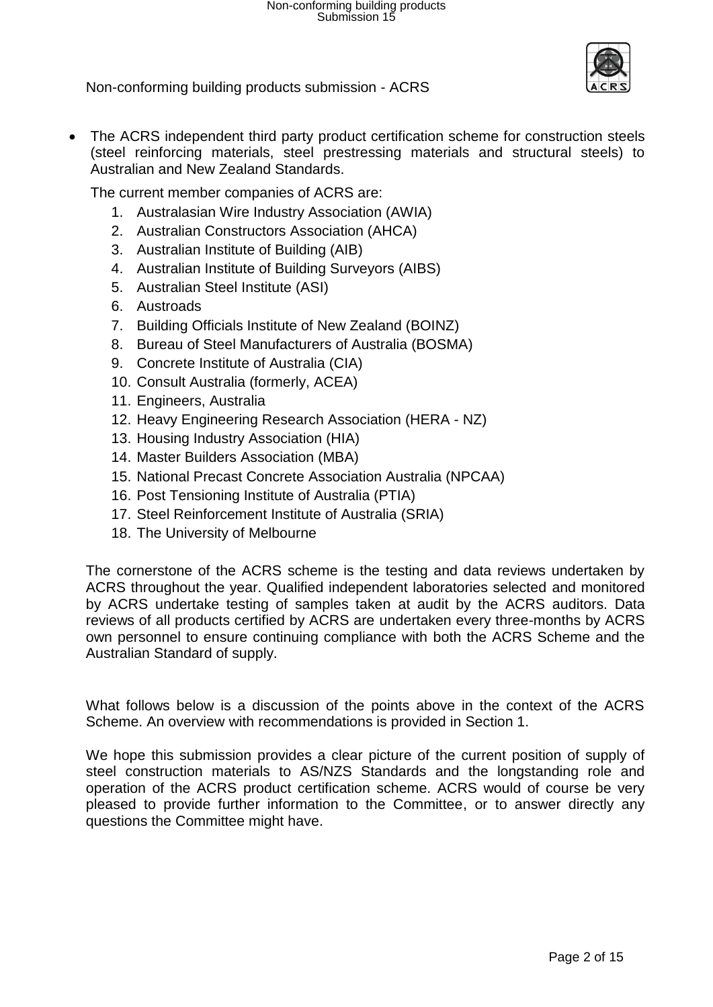

• The ACRS independent third party product certification scheme for construction steels (steel reinforcing materials, steel prestressing materials and structural steels) to Australian and New Zealand Standards.

The current member companies of ACRS are:

- 1. Australasian Wire Industry Association (AWIA)
- 2. Australian Constructors Association (AHCA)
- 3. Australian Institute of Building (AIB)
- 4. Australian Institute of Building Surveyors (AIBS)
- 5. Australian Steel Institute (ASI)
- 6. Austroads
- 7. Building Officials Institute of New Zealand (BOINZ)
- 8. Bureau of Steel Manufacturers of Australia (BOSMA)
- 9. Concrete Institute of Australia (CIA)
- 10. Consult Australia (formerly, ACEA)
- 11. Engineers, Australia
- 12. Heavy Engineering Research Association (HERA NZ)
- 13. Housing Industry Association (HIA)
- 14. Master Builders Association (MBA)
- 15. National Precast Concrete Association Australia (NPCAA)
- 16. Post Tensioning Institute of Australia (PTIA)
- 17. Steel Reinforcement Institute of Australia (SRIA)
- 18. The University of Melbourne

The cornerstone of the ACRS scheme is the testing and data reviews undertaken by ACRS throughout the year. Qualified independent laboratories selected and monitored by ACRS undertake testing of samples taken at audit by the ACRS auditors. Data reviews of all products certified by ACRS are undertaken every three-months by ACRS own personnel to ensure continuing compliance with both the ACRS Scheme and the Australian Standard of supply.

What follows below is a discussion of the points above in the context of the ACRS Scheme. An overview with recommendations is provided in Section 1.

We hope this submission provides a clear picture of the current position of supply of steel construction materials to AS/NZS Standards and the longstanding role and operation of the ACRS product certification scheme. ACRS would of course be very pleased to provide further information to the Committee, or to answer directly any questions the Committee might have.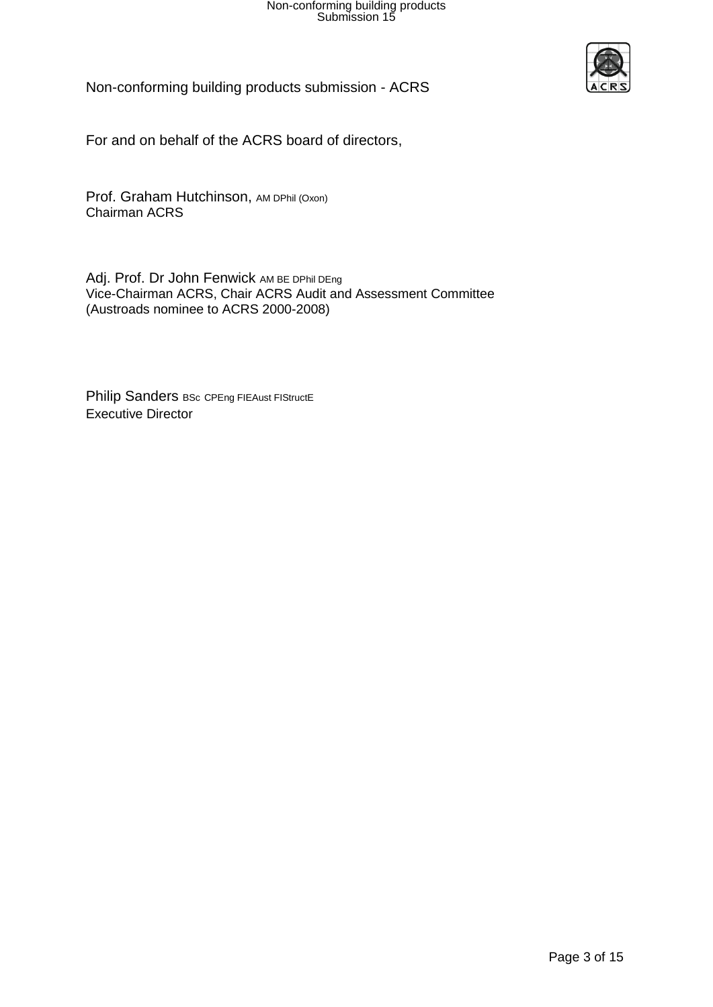

Non-conforming building products submission - ACRS

For and on behalf of the ACRS board of directors,

Prof. Graham Hutchinson, AM DPhil (Oxon) Chairman ACRS

Adj. Prof. Dr John Fenwick AM BE DPhil DEng Vice-Chairman ACRS, Chair ACRS Audit and Assessment Committee (Austroads nominee to ACRS 2000-2008)

Philip Sanders BSc CPEng FIEAust FIStructE Executive Director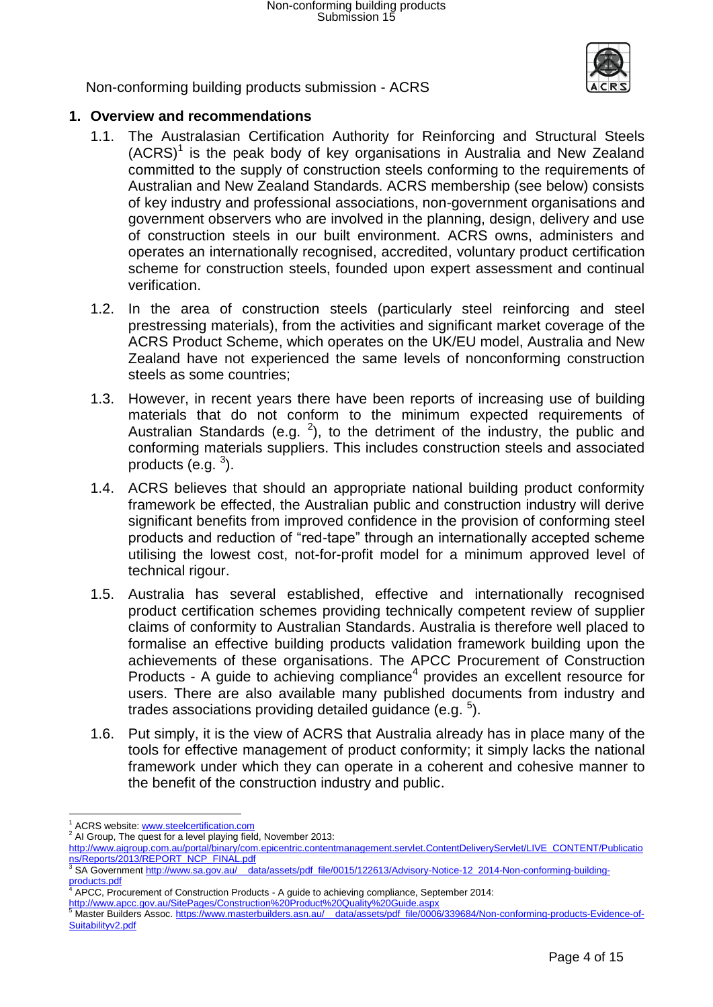

# **1. Overview and recommendations**

- 1.1. The Australasian Certification Authority for Reinforcing and Structural Steels  $(ACRS)^1$  is the peak body of key organisations in Australia and New Zealand committed to the supply of construction steels conforming to the requirements of Australian and New Zealand Standards. ACRS membership (see below) consists of key industry and professional associations, non-government organisations and government observers who are involved in the planning, design, delivery and use of construction steels in our built environment. ACRS owns, administers and operates an internationally recognised, accredited, voluntary product certification scheme for construction steels, founded upon expert assessment and continual verification.
- 1.2. In the area of construction steels (particularly steel reinforcing and steel prestressing materials), from the activities and significant market coverage of the ACRS Product Scheme, which operates on the UK/EU model, Australia and New Zealand have not experienced the same levels of nonconforming construction steels as some countries;
- 1.3. However, in recent years there have been reports of increasing use of building materials that do not conform to the minimum expected requirements of Australian Standards (e.g.  $^2$ ), to the detriment of the industry, the public and conforming materials suppliers. This includes construction steels and associated products  $(e.g. 3)$ .
- 1.4. ACRS believes that should an appropriate national building product conformity framework be effected, the Australian public and construction industry will derive significant benefits from improved confidence in the provision of conforming steel products and reduction of "red-tape" through an internationally accepted scheme utilising the lowest cost, not-for-profit model for a minimum approved level of technical rigour.
- 1.5. Australia has several established, effective and internationally recognised product certification schemes providing technically competent review of supplier claims of conformity to Australian Standards. Australia is therefore well placed to formalise an effective building products validation framework building upon the achievements of these organisations. The APCC Procurement of Construction Products - A guide to achieving compliance<sup>4</sup> provides an excellent resource for users. There are also available many published documents from industry and trades associations providing detailed guidance (e.g.  $5$ ).
- 1.6. Put simply, it is the view of ACRS that Australia already has in place many of the tools for effective management of product conformity; it simply lacks the national framework under which they can operate in a coherent and cohesive manner to the benefit of the construction industry and public.

l <sup>1</sup> ACRS website[: www.steelcertification.com](http://www.steelcertification.com/)

<sup>&</sup>lt;sup>2</sup> AI Group, The quest for a level playing field, November 2013:

[http://www.aigroup.com.au/portal/binary/com.epicentric.contentmanagement.servlet.ContentDeliveryServlet/LIVE\\_CONTENT/Publicatio](http://www.aigroup.com.au/portal/binary/com.epicentric.contentmanagement.servlet.ContentDeliveryServlet/LIVE_CONTENT/Publications/Reports/2013/REPORT_NCP_FINAL.pdf)

[ns/Reports/2013/REPORT\\_NCP\\_FINAL.pdf](http://www.aigroup.com.au/portal/binary/com.epicentric.contentmanagement.servlet.ContentDeliveryServlet/LIVE_CONTENT/Publications/Reports/2013/REPORT_NCP_FINAL.pdf)<br><sup>3</sup> SA Government <u>http://www.sa.gov.au/\_\_data/assets/pdf\_file/0015/122613/Advisory-Notice-12\_2014-Non-conforming-building-</u> [products.pdf](http://www.sa.gov.au/__data/assets/pdf_file/0015/122613/Advisory-Notice-12_2014-Non-conforming-building-products.pdf)

<sup>4</sup> APCC, Procurement of Construction Products - A guide to achieving compliance, September 2014:

<http://www.apcc.gov.au/SitePages/Construction%20Product%20Quality%20Guide.aspx><br><sup>5</sup> Master Builders Assoc. <u>https://www.masterbuilders.asn.au/\_\_data/assets/pdf\_file/0006/339684/Non-conforming-products-Evidence-of-</u> [Suitabilityv2.pdf](https://www.masterbuilders.asn.au/__data/assets/pdf_file/0006/339684/Non-conforming-products-Evidence-of-Suitabilityv2.pdf)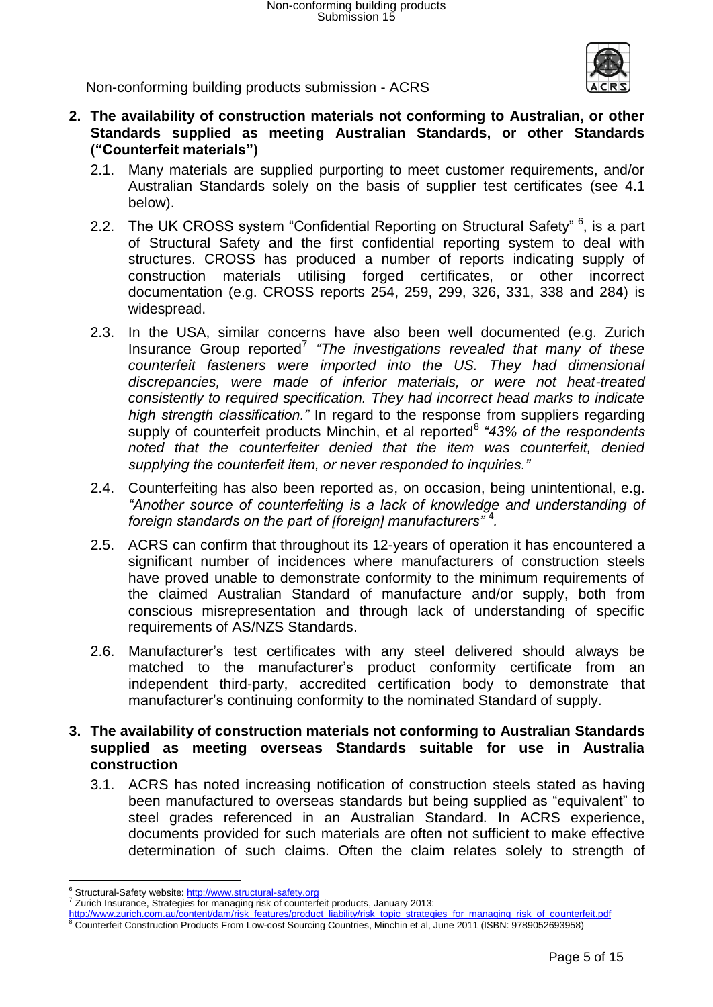

- **2. The availability of construction materials not conforming to Australian, or other Standards supplied as meeting Australian Standards, or other Standards ("Counterfeit materials")**
	- 2.1. Many materials are supplied purporting to meet customer requirements, and/or Australian Standards solely on the basis of supplier test certificates (see 4.1 below).
	- 2.2. The UK CROSS system "Confidential Reporting on Structural Safety" <sup>6</sup>, is a part of Structural Safety and the first confidential reporting system to deal with structures. CROSS has produced a number of reports indicating supply of construction materials utilising forged certificates, or other incorrect documentation (e.g. CROSS reports 254, 259, 299, 326, 331, 338 and 284) is widespread.
	- 2.3. In the USA, similar concerns have also been well documented (e.g. Zurich Insurance Group reported<sup>7</sup> "The investigations revealed that many of these *counterfeit fasteners were imported into the US. They had dimensional discrepancies, were made of inferior materials, or were not heat-treated consistently to required specification. They had incorrect head marks to indicate high strength classification."* In regard to the response from suppliers regarding supply of counterfeit products Minchin, et al reported<sup>8</sup> "43% of the respondents *noted that the counterfeiter denied that the item was counterfeit, denied supplying the counterfeit item, or never responded to inquiries."*
	- 2.4. Counterfeiting has also been reported as, on occasion, being unintentional, e.g. *"Another source of counterfeiting is a lack of knowledge and understanding of foreign standards on the part of [foreign] manufacturers"* <sup>4</sup> *.*
	- 2.5. ACRS can confirm that throughout its 12-years of operation it has encountered a significant number of incidences where manufacturers of construction steels have proved unable to demonstrate conformity to the minimum requirements of the claimed Australian Standard of manufacture and/or supply, both from conscious misrepresentation and through lack of understanding of specific requirements of AS/NZS Standards.
	- 2.6. Manufacturer's test certificates with any steel delivered should always be matched to the manufacturer's product conformity certificate from an independent third-party, accredited certification body to demonstrate that manufacturer's continuing conformity to the nominated Standard of supply.
- **3. The availability of construction materials not conforming to Australian Standards supplied as meeting overseas Standards suitable for use in Australia construction**
	- 3.1. ACRS has noted increasing notification of construction steels stated as having been manufactured to overseas standards but being supplied as "equivalent" to steel grades referenced in an Australian Standard. In ACRS experience, documents provided for such materials are often not sufficient to make effective determination of such claims. Often the claim relates solely to strength of

l <sup>6</sup> Structural-Safety website: [http://www.structural-safety.org](http://www.structural-safety.org/)

<sup>7</sup> Zurich Insurance, Strategies for managing risk of counterfeit products, January 2013:

[http://www.zurich.com.au/content/dam/risk\\_features/product\\_liability/risk\\_topic\\_strategies\\_for\\_managing\\_risk\\_of\\_counterfeit.pdf](http://www.zurich.com.au/content/dam/risk_features/product_liability/risk_topic_strategies_for_managing_risk_of_counterfeit.pdf)

<sup>8</sup> Counterfeit Construction Products From Low-cost Sourcing Countries, Minchin et al, June 2011 (ISBN: 9789052693958)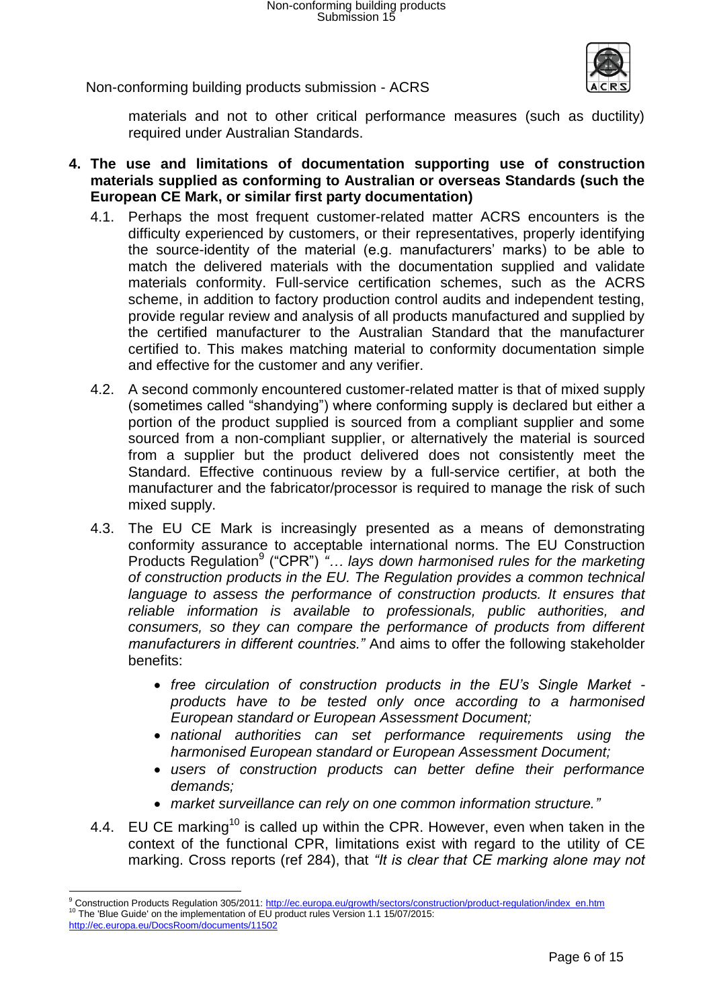

materials and not to other critical performance measures (such as ductility) required under Australian Standards.

- **4. The use and limitations of documentation supporting use of construction materials supplied as conforming to Australian or overseas Standards (such the European CE Mark, or similar first party documentation)**
	- 4.1. Perhaps the most frequent customer-related matter ACRS encounters is the difficulty experienced by customers, or their representatives, properly identifying the source-identity of the material (e.g. manufacturers' marks) to be able to match the delivered materials with the documentation supplied and validate materials conformity. Full-service certification schemes, such as the ACRS scheme, in addition to factory production control audits and independent testing, provide regular review and analysis of all products manufactured and supplied by the certified manufacturer to the Australian Standard that the manufacturer certified to. This makes matching material to conformity documentation simple and effective for the customer and any verifier.
	- 4.2. A second commonly encountered customer-related matter is that of mixed supply (sometimes called "shandying") where conforming supply is declared but either a portion of the product supplied is sourced from a compliant supplier and some sourced from a non-compliant supplier, or alternatively the material is sourced from a supplier but the product delivered does not consistently meet the Standard. Effective continuous review by a full-service certifier, at both the manufacturer and the fabricator/processor is required to manage the risk of such mixed supply.
	- 4.3. The EU CE Mark is increasingly presented as a means of demonstrating conformity assurance to acceptable international norms. The EU Construction Products Regulation<sup>9</sup> ("CPR") "... lays down harmonised rules for the marketing *of construction products in the EU. The Regulation provides a common technical*  language to assess the performance of construction products. It ensures that *reliable information is available to professionals, public authorities, and consumers, so they can compare the performance of products from different manufacturers in different countries."* And aims to offer the following stakeholder benefits:
		- *free circulation of construction products in the EU's Single Market products have to be tested only once according to a harmonised European standard or European Assessment Document;*
		- *national authorities can set performance requirements using the harmonised European standard or European Assessment Document;*
		- *users of construction products can better define their performance demands;*
		- *market surveillance can rely on one common information structure."*
	- 4.4. EU CE marking<sup>10</sup> is called up within the CPR. However, even when taken in the context of the functional CPR, limitations exist with regard to the utility of CE marking. Cross reports (ref 284), that *"It is clear that CE marking alone may not*

<http://ec.europa.eu/DocsRoom/documents/11502>

 $\overline{a}$ 

<sup>9</sup> Construction Products Regulation 305/2011: [http://ec.europa.eu/growth/sectors/construction/product-regulation/index\\_en.htm](http://ec.europa.eu/growth/sectors/construction/product-regulation/index_en.htm) <sup>10</sup> The 'Blue Guide' on the implementation of EU product rules Version 1.1 15/07/2015: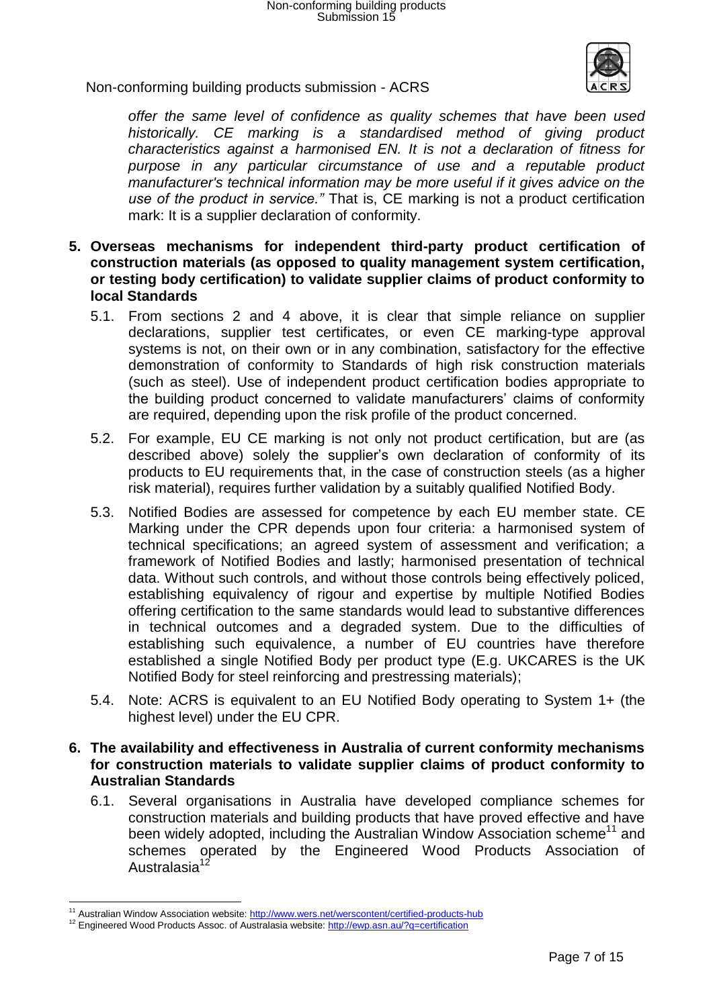

*offer the same level of confidence as quality schemes that have been used historically. CE marking is a standardised method of giving product characteristics against a harmonised EN. It is not a declaration of fitness for purpose in any particular circumstance of use and a reputable product manufacturer's technical information may be more useful if it gives advice on the use of the product in service."* That is, CE marking is not a product certification mark: It is a supplier declaration of conformity.

- **5. Overseas mechanisms for independent third-party product certification of construction materials (as opposed to quality management system certification, or testing body certification) to validate supplier claims of product conformity to local Standards**
	- 5.1. From sections 2 and 4 above, it is clear that simple reliance on supplier declarations, supplier test certificates, or even CE marking-type approval systems is not, on their own or in any combination, satisfactory for the effective demonstration of conformity to Standards of high risk construction materials (such as steel). Use of independent product certification bodies appropriate to the building product concerned to validate manufacturers' claims of conformity are required, depending upon the risk profile of the product concerned.
	- 5.2. For example, EU CE marking is not only not product certification, but are (as described above) solely the supplier's own declaration of conformity of its products to EU requirements that, in the case of construction steels (as a higher risk material), requires further validation by a suitably qualified Notified Body.
	- 5.3. Notified Bodies are assessed for competence by each EU member state. CE Marking under the CPR depends upon four criteria: a harmonised system of technical specifications; an agreed system of assessment and verification; a framework of Notified Bodies and lastly; harmonised presentation of technical data. Without such controls, and without those controls being effectively policed, establishing equivalency of rigour and expertise by multiple Notified Bodies offering certification to the same standards would lead to substantive differences in technical outcomes and a degraded system. Due to the difficulties of establishing such equivalence, a number of EU countries have therefore established a single Notified Body per product type (E.g. UKCARES is the UK Notified Body for steel reinforcing and prestressing materials);
	- 5.4. Note: ACRS is equivalent to an EU Notified Body operating to System 1+ (the highest level) under the EU CPR.

### **6. The availability and effectiveness in Australia of current conformity mechanisms for construction materials to validate supplier claims of product conformity to Australian Standards**

6.1. Several organisations in Australia have developed compliance schemes for construction materials and building products that have proved effective and have been widely adopted, including the Australian Window Association scheme<sup>11</sup> and schemes operated by the Engineered Wood Products Association of Australasia<sup>12</sup>

l

<sup>&</sup>lt;sup>11</sup> Australian Window Association website[: http://www.wers.net/werscontent/certified-products-hub](http://www.wers.net/werscontent/certified-products-hub)

<sup>&</sup>lt;sup>12</sup> Engineered Wood Products Assoc. of Australasia website:<http://ewp.asn.au/?q=certification>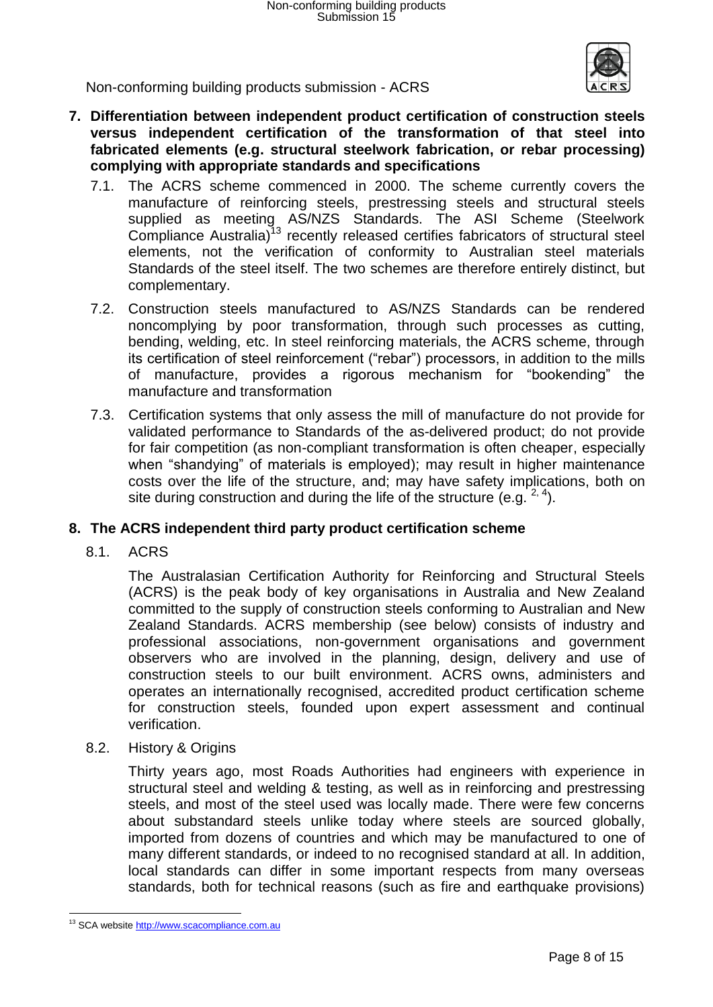

- **7. Differentiation between independent product certification of construction steels versus independent certification of the transformation of that steel into fabricated elements (e.g. structural steelwork fabrication, or rebar processing) complying with appropriate standards and specifications**
	- 7.1. The ACRS scheme commenced in 2000. The scheme currently covers the manufacture of reinforcing steels, prestressing steels and structural steels supplied as meeting AS/NZS Standards. The ASI Scheme (Steelwork Compliance Australia)<sup>13</sup> recently released certifies fabricators of structural steel elements, not the verification of conformity to Australian steel materials Standards of the steel itself. The two schemes are therefore entirely distinct, but complementary.
	- 7.2. Construction steels manufactured to AS/NZS Standards can be rendered noncomplying by poor transformation, through such processes as cutting, bending, welding, etc. In steel reinforcing materials, the ACRS scheme, through its certification of steel reinforcement ("rebar") processors, in addition to the mills of manufacture, provides a rigorous mechanism for "bookending" the manufacture and transformation
	- 7.3. Certification systems that only assess the mill of manufacture do not provide for validated performance to Standards of the as-delivered product; do not provide for fair competition (as non-compliant transformation is often cheaper, especially when "shandying" of materials is employed); may result in higher maintenance costs over the life of the structure, and; may have safety implications, both on site during construction and during the life of the structure (e.g.  $2, 4$ ).

# **8. The ACRS independent third party product certification scheme**

8.1. ACRS

The Australasian Certification Authority for Reinforcing and Structural Steels (ACRS) is the peak body of key organisations in Australia and New Zealand committed to the supply of construction steels conforming to Australian and New Zealand Standards. ACRS membership (see below) consists of industry and professional associations, non-government organisations and government observers who are involved in the planning, design, delivery and use of construction steels to our built environment. ACRS owns, administers and operates an internationally recognised, accredited product certification scheme for construction steels, founded upon expert assessment and continual verification.

8.2. History & Origins

Thirty years ago, most Roads Authorities had engineers with experience in structural steel and welding & testing, as well as in reinforcing and prestressing steels, and most of the steel used was locally made. There were few concerns about substandard steels unlike today where steels are sourced globally, imported from dozens of countries and which may be manufactured to one of many different standards, or indeed to no recognised standard at all. In addition, local standards can differ in some important respects from many overseas standards, both for technical reasons (such as fire and earthquake provisions)

l <sup>13</sup> SCA websit[e http://www.scacompliance.com.au](http://www.scacompliance.com.au/)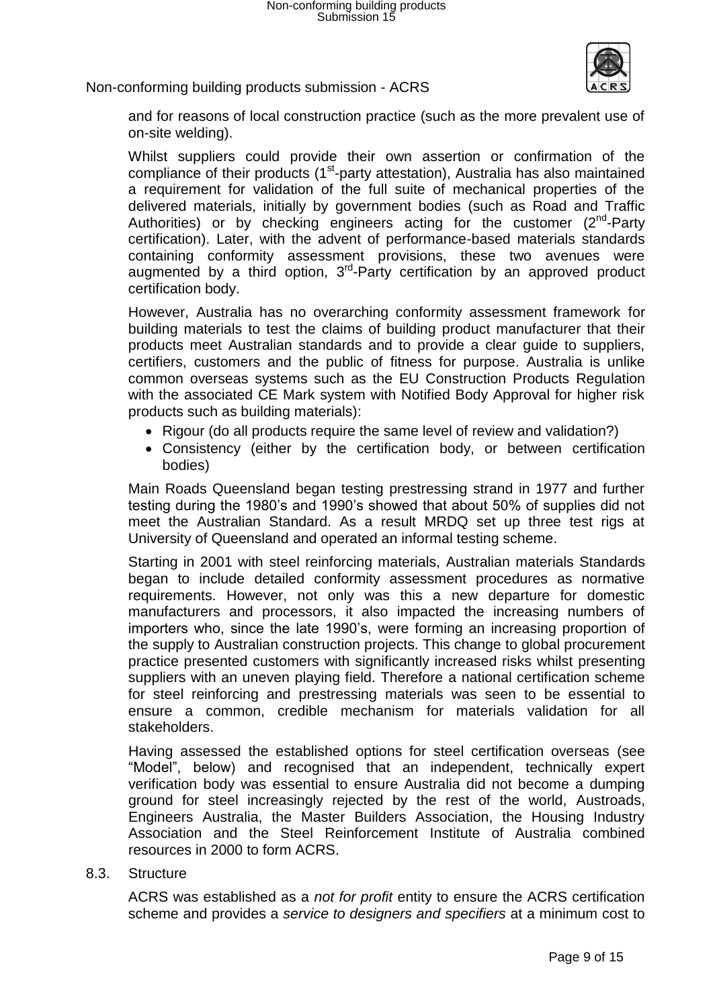

and for reasons of local construction practice (such as the more prevalent use of on-site welding).

Whilst suppliers could provide their own assertion or confirmation of the compliance of their products (1<sup>st</sup>-party attestation), Australia has also maintained a requirement for validation of the full suite of mechanical properties of the delivered materials, initially by government bodies (such as Road and Traffic Authorities) or by checking engineers acting for the customer  $(2^{nd}$ -Party certification). Later, with the advent of performance-based materials standards containing conformity assessment provisions, these two avenues were augmented by a third option, 3<sup>rd</sup>-Party certification by an approved product certification body.

However, Australia has no overarching conformity assessment framework for building materials to test the claims of building product manufacturer that their products meet Australian standards and to provide a clear guide to suppliers, certifiers, customers and the public of fitness for purpose. Australia is unlike common overseas systems such as the EU Construction Products Regulation with the associated CE Mark system with Notified Body Approval for higher risk products such as building materials):

- Rigour (do all products require the same level of review and validation?)
- Consistency (either by the certification body, or between certification bodies)

Main Roads Queensland began testing prestressing strand in 1977 and further testing during the 1980's and 1990's showed that about 50% of supplies did not meet the Australian Standard. As a result MRDQ set up three test rigs at University of Queensland and operated an informal testing scheme.

Starting in 2001 with steel reinforcing materials, Australian materials Standards began to include detailed conformity assessment procedures as normative requirements. However, not only was this a new departure for domestic manufacturers and processors, it also impacted the increasing numbers of importers who, since the late 1990's, were forming an increasing proportion of the supply to Australian construction projects. This change to global procurement practice presented customers with significantly increased risks whilst presenting suppliers with an uneven playing field. Therefore a national certification scheme for steel reinforcing and prestressing materials was seen to be essential to ensure a common, credible mechanism for materials validation for all stakeholders.

Having assessed the established options for steel certification overseas (see "Model", below) and recognised that an independent, technically expert verification body was essential to ensure Australia did not become a dumping ground for steel increasingly rejected by the rest of the world, Austroads, Engineers Australia, the Master Builders Association, the Housing Industry Association and the Steel Reinforcement Institute of Australia combined resources in 2000 to form ACRS.

8.3. Structure

ACRS was established as a *not for profit* entity to ensure the ACRS certification scheme and provides a *service to designers and specifiers* at a minimum cost to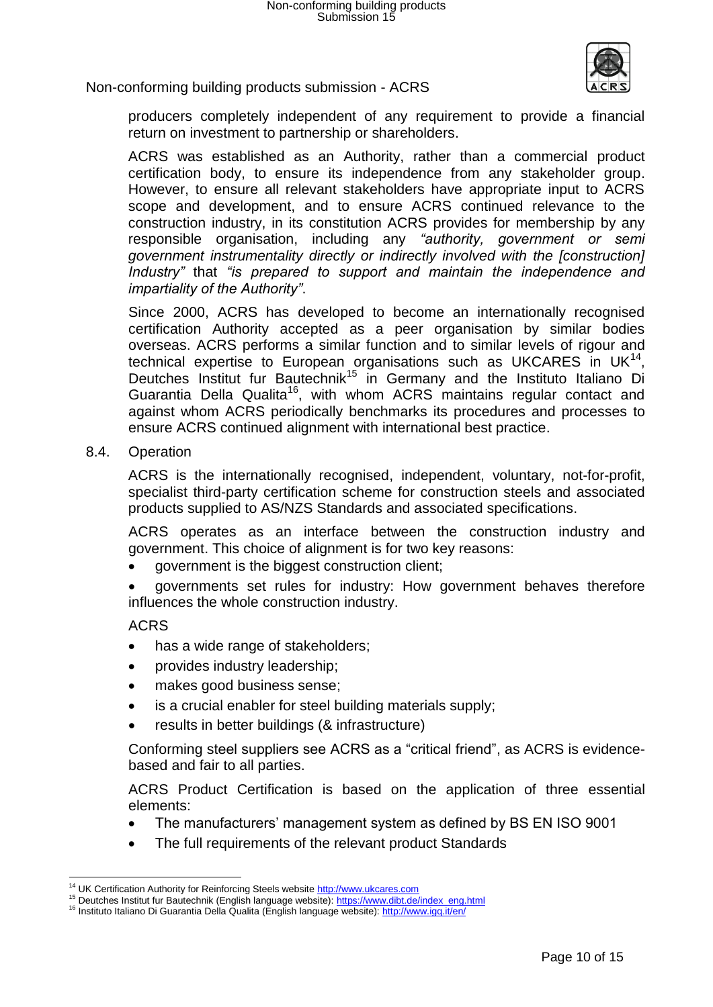

producers completely independent of any requirement to provide a financial return on investment to partnership or shareholders.

ACRS was established as an Authority, rather than a commercial product certification body, to ensure its independence from any stakeholder group. However, to ensure all relevant stakeholders have appropriate input to ACRS scope and development, and to ensure ACRS continued relevance to the construction industry, in its constitution ACRS provides for membership by any responsible organisation, including any *"authority, government or semi government instrumentality directly or indirectly involved with the [construction] Industry"* that *"is prepared to support and maintain the independence and impartiality of the Authority"*.

Since 2000, ACRS has developed to become an internationally recognised certification Authority accepted as a peer organisation by similar bodies overseas. ACRS performs a similar function and to similar levels of rigour and technical expertise to European organisations such as UKCARES in UK $^{14}$ , Deutches Institut fur Bautechnik<sup>15</sup> in Germany and the Instituto Italiano Di Guarantia Della Qualita<sup>16</sup>, with whom ACRS maintains regular contact and against whom ACRS periodically benchmarks its procedures and processes to ensure ACRS continued alignment with international best practice.

8.4. Operation

ACRS is the internationally recognised, independent, voluntary, not-for-profit, specialist third-party certification scheme for construction steels and associated products supplied to AS/NZS Standards and associated specifications.

ACRS operates as an interface between the construction industry and government. This choice of alignment is for two key reasons:

- government is the biggest construction client;
- governments set rules for industry: How government behaves therefore influences the whole construction industry.

#### ACRS

- has a wide range of stakeholders;
- provides industry leadership;
- makes good business sense;
- is a crucial enabler for steel building materials supply;
- results in better buildings (& infrastructure)

Conforming steel suppliers see ACRS as a "critical friend", as ACRS is evidencebased and fair to all parties.

ACRS Product Certification is based on the application of three essential elements:

- The manufacturers' management system as defined by BS EN ISO 9001
- The full requirements of the relevant product Standards

l <sup>14</sup> UK Certification Authority for Reinforcing Steels website [http://www.ukcares.com](http://www.ukcares.com/)

<sup>&</sup>lt;sup>15</sup> Deutches Institut fur Bautechnik (English language website): [https://www.dibt.de/index\\_eng.html](https://www.dibt.de/index_eng.html)

<sup>16</sup> Instituto Italiano Di Guarantia Della Qualita (English language website): <http://www.igq.it/en/>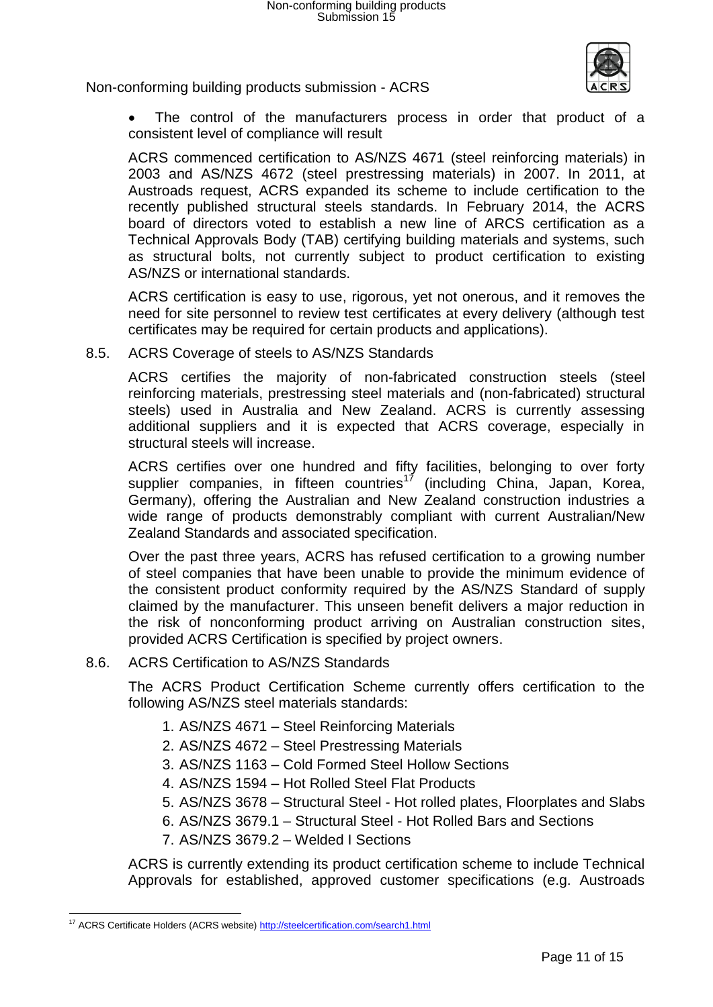

 The control of the manufacturers process in order that product of a consistent level of compliance will result

ACRS commenced certification to AS/NZS 4671 (steel reinforcing materials) in 2003 and AS/NZS 4672 (steel prestressing materials) in 2007. In 2011, at Austroads request, ACRS expanded its scheme to include certification to the recently published structural steels standards. In February 2014, the ACRS board of directors voted to establish a new line of ARCS certification as a Technical Approvals Body (TAB) certifying building materials and systems, such as structural bolts, not currently subject to product certification to existing AS/NZS or international standards.

ACRS certification is easy to use, rigorous, yet not onerous, and it removes the need for site personnel to review test certificates at every delivery (although test certificates may be required for certain products and applications).

8.5. ACRS Coverage of steels to AS/NZS Standards

ACRS certifies the majority of non-fabricated construction steels (steel reinforcing materials, prestressing steel materials and (non-fabricated) structural steels) used in Australia and New Zealand. ACRS is currently assessing additional suppliers and it is expected that ACRS coverage, especially in structural steels will increase.

ACRS certifies over one hundred and fifty facilities, belonging to over forty supplier companies, in fifteen countries<sup>17</sup> (including China, Japan, Korea, Germany), offering the Australian and New Zealand construction industries a wide range of products demonstrably compliant with current Australian/New Zealand Standards and associated specification.

Over the past three years, ACRS has refused certification to a growing number of steel companies that have been unable to provide the minimum evidence of the consistent product conformity required by the AS/NZS Standard of supply claimed by the manufacturer. This unseen benefit delivers a major reduction in the risk of nonconforming product arriving on Australian construction sites, provided ACRS Certification is specified by project owners.

# 8.6. ACRS Certification to AS/NZS Standards

The ACRS Product Certification Scheme currently offers certification to the following AS/NZS steel materials standards:

- 1. AS/NZS 4671 Steel Reinforcing Materials
- 2. AS/NZS 4672 Steel Prestressing Materials
- 3. AS/NZS 1163 Cold Formed Steel Hollow Sections
- 4. AS/NZS 1594 Hot Rolled Steel Flat Products
- 5. AS/NZS 3678 Structural Steel Hot rolled plates, Floorplates and Slabs
- 6. AS/NZS 3679.1 Structural Steel Hot Rolled Bars and Sections
- 7. AS/NZS 3679.2 Welded I Sections

ACRS is currently extending its product certification scheme to include Technical Approvals for established, approved customer specifications (e.g. Austroads

l <sup>17</sup> ACRS Certificate Holders (ACRS website)<http://steelcertification.com/search1.html>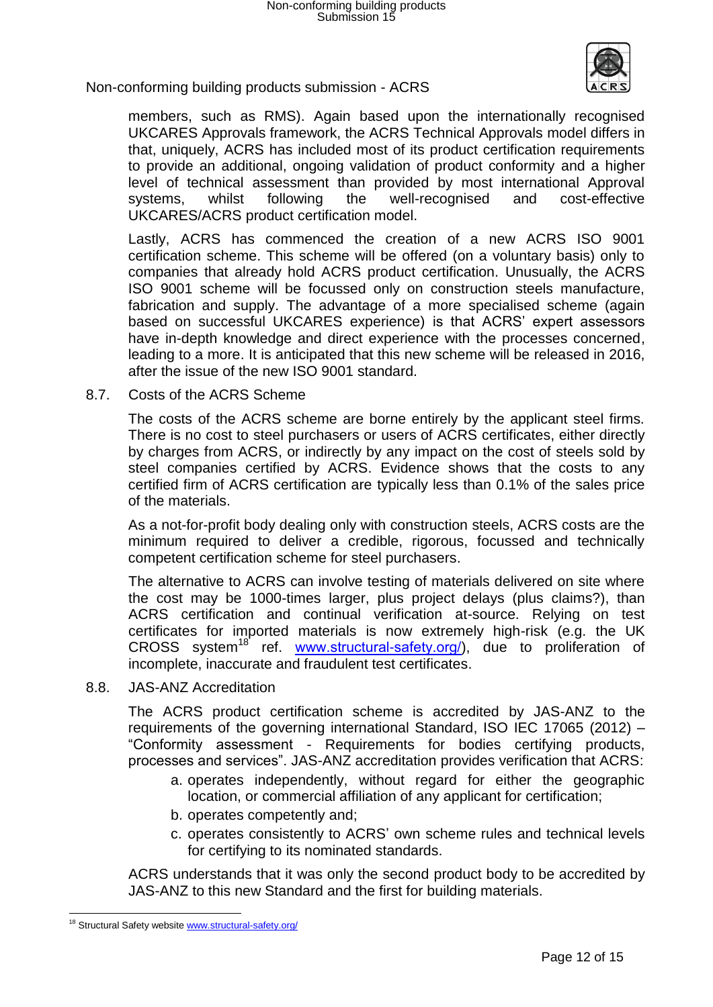

members, such as RMS). Again based upon the internationally recognised UKCARES Approvals framework, the ACRS Technical Approvals model differs in that, uniquely, ACRS has included most of its product certification requirements to provide an additional, ongoing validation of product conformity and a higher level of technical assessment than provided by most international Approval systems, whilst following the well-recognised and cost-effective UKCARES/ACRS product certification model.

Lastly, ACRS has commenced the creation of a new ACRS ISO 9001 certification scheme. This scheme will be offered (on a voluntary basis) only to companies that already hold ACRS product certification. Unusually, the ACRS ISO 9001 scheme will be focussed only on construction steels manufacture, fabrication and supply. The advantage of a more specialised scheme (again based on successful UKCARES experience) is that ACRS' expert assessors have in-depth knowledge and direct experience with the processes concerned, leading to a more. It is anticipated that this new scheme will be released in 2016, after the issue of the new ISO 9001 standard.

8.7. Costs of the ACRS Scheme

The costs of the ACRS scheme are borne entirely by the applicant steel firms. There is no cost to steel purchasers or users of ACRS certificates, either directly by charges from ACRS, or indirectly by any impact on the cost of steels sold by steel companies certified by ACRS. Evidence shows that the costs to any certified firm of ACRS certification are typically less than 0.1% of the sales price of the materials.

As a not-for-profit body dealing only with construction steels, ACRS costs are the minimum required to deliver a credible, rigorous, focussed and technically competent certification scheme for steel purchasers.

The alternative to ACRS can involve testing of materials delivered on site where the cost may be 1000-times larger, plus project delays (plus claims?), than ACRS certification and continual verification at-source. Relying on test certificates for imported materials is now extremely high-risk (e.g. the UK CROSS system<sup>18</sup> ref. [www.structural-safety.org/\)](http://www.structural-safety.org/), due to proliferation of incomplete, inaccurate and fraudulent test certificates.

8.8. JAS-ANZ Accreditation

The ACRS product certification scheme is accredited by JAS-ANZ to the requirements of the governing international Standard, ISO IEC 17065 (2012) – "Conformity assessment - Requirements for bodies certifying products, processes and services". JAS-ANZ accreditation provides verification that ACRS:

- a. operates independently, without regard for either the geographic location, or commercial affiliation of any applicant for certification;
- b. operates competently and;
- c. operates consistently to ACRS' own scheme rules and technical levels for certifying to its nominated standards.

ACRS understands that it was only the second product body to be accredited by JAS-ANZ to this new Standard and the first for building materials.

l

<sup>&</sup>lt;sup>18</sup> Structural Safety website **www.structural-safety.org/**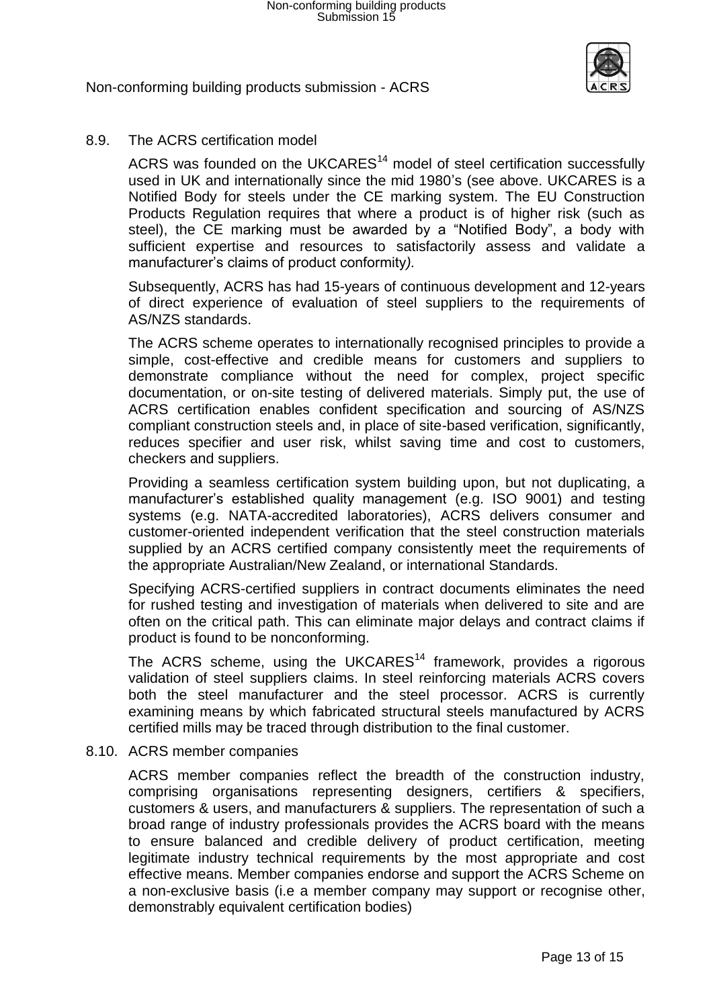

# 8.9. The ACRS certification model

ACRS was founded on the UKCARES $<sup>14</sup>$  model of steel certification successfully</sup> used in UK and internationally since the mid 1980's (see above. UKCARES is a Notified Body for steels under the CE marking system. The EU Construction Products Regulation requires that where a product is of higher risk (such as steel), the CE marking must be awarded by a "Notified Body", a body with sufficient expertise and resources to satisfactorily assess and validate a manufacturer's claims of product conformity*).* 

Subsequently, ACRS has had 15-years of continuous development and 12-years of direct experience of evaluation of steel suppliers to the requirements of AS/NZS standards.

The ACRS scheme operates to internationally recognised principles to provide a simple, cost-effective and credible means for customers and suppliers to demonstrate compliance without the need for complex, project specific documentation, or on-site testing of delivered materials. Simply put, the use of ACRS certification enables confident specification and sourcing of AS/NZS compliant construction steels and, in place of site-based verification, significantly, reduces specifier and user risk, whilst saving time and cost to customers, checkers and suppliers.

Providing a seamless certification system building upon, but not duplicating, a manufacturer's established quality management (e.g. ISO 9001) and testing systems (e.g. NATA-accredited laboratories), ACRS delivers consumer and customer-oriented independent verification that the steel construction materials supplied by an ACRS certified company consistently meet the requirements of the appropriate Australian/New Zealand, or international Standards.

Specifying ACRS-certified suppliers in contract documents eliminates the need for rushed testing and investigation of materials when delivered to site and are often on the critical path. This can eliminate major delays and contract claims if product is found to be nonconforming.

The ACRS scheme, using the UKCARES<sup>14</sup> framework, provides a rigorous validation of steel suppliers claims. In steel reinforcing materials ACRS covers both the steel manufacturer and the steel processor. ACRS is currently examining means by which fabricated structural steels manufactured by ACRS certified mills may be traced through distribution to the final customer.

#### 8.10. ACRS member companies

ACRS member companies reflect the breadth of the construction industry, comprising organisations representing designers, certifiers & specifiers, customers & users, and manufacturers & suppliers. The representation of such a broad range of industry professionals provides the ACRS board with the means to ensure balanced and credible delivery of product certification, meeting legitimate industry technical requirements by the most appropriate and cost effective means. Member companies endorse and support the ACRS Scheme on a non-exclusive basis (i.e a member company may support or recognise other, demonstrably equivalent certification bodies)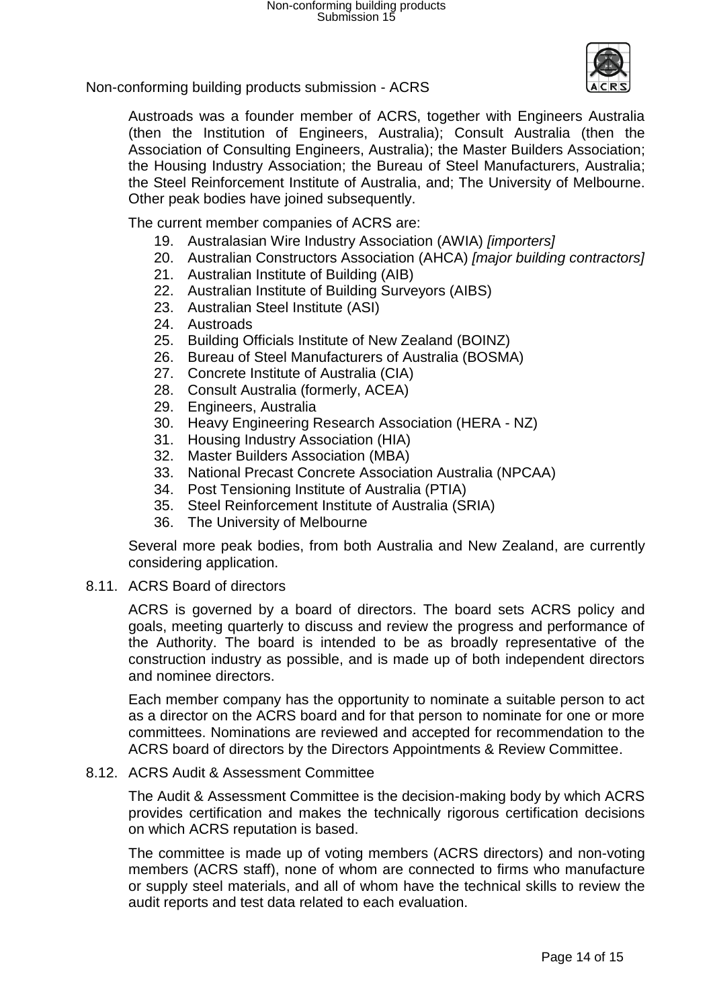

Austroads was a founder member of ACRS, together with Engineers Australia (then the Institution of Engineers, Australia); Consult Australia (then the Association of Consulting Engineers, Australia); the Master Builders Association; the Housing Industry Association; the Bureau of Steel Manufacturers, Australia; the Steel Reinforcement Institute of Australia, and; The University of Melbourne. Other peak bodies have joined subsequently.

The current member companies of ACRS are:

- 19. Australasian Wire Industry Association (AWIA) *[importers]*
- 20. Australian Constructors Association (AHCA) *[major building contractors]*
- 21. Australian Institute of Building (AIB)
- 22. Australian Institute of Building Surveyors (AIBS)
- 23. Australian Steel Institute (ASI)
- 24. Austroads
- 25. Building Officials Institute of New Zealand (BOINZ)
- 26. Bureau of Steel Manufacturers of Australia (BOSMA)
- 27. Concrete Institute of Australia (CIA)
- 28. Consult Australia (formerly, ACEA)
- 29. Engineers, Australia
- 30. Heavy Engineering Research Association (HERA NZ)
- 31. Housing Industry Association (HIA)
- 32. Master Builders Association (MBA)
- 33. National Precast Concrete Association Australia (NPCAA)
- 34. Post Tensioning Institute of Australia (PTIA)
- 35. Steel Reinforcement Institute of Australia (SRIA)
- 36. The University of Melbourne

Several more peak bodies, from both Australia and New Zealand, are currently considering application.

8.11. ACRS Board of directors

ACRS is governed by a board of directors. The board sets ACRS policy and goals, meeting quarterly to discuss and review the progress and performance of the Authority. The board is intended to be as broadly representative of the construction industry as possible, and is made up of both independent directors and nominee directors.

Each member company has the opportunity to nominate a suitable person to act as a director on the ACRS board and for that person to nominate for one or more committees. Nominations are reviewed and accepted for recommendation to the ACRS board of directors by the Directors Appointments & Review Committee.

#### 8.12. ACRS Audit & Assessment Committee

The Audit & Assessment Committee is the decision-making body by which ACRS provides certification and makes the technically rigorous certification decisions on which ACRS reputation is based.

The committee is made up of voting members (ACRS directors) and non-voting members (ACRS staff), none of whom are connected to firms who manufacture or supply steel materials, and all of whom have the technical skills to review the audit reports and test data related to each evaluation.